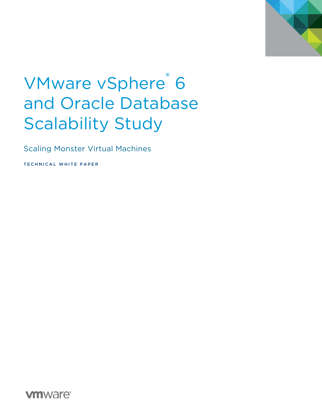

# VMware vSphere® 6 and Oracle Database Scalability Study

Scaling Monster Virtual Machines

TECHNICAL WHITE PAPER

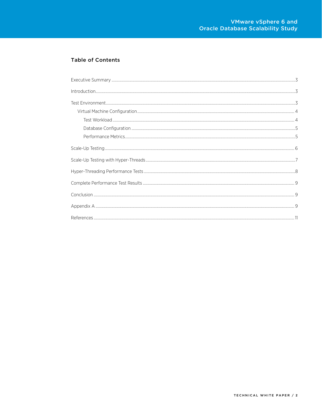#### **Table of Contents**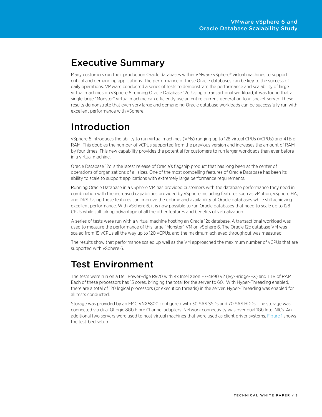## <span id="page-2-0"></span>Executive Summary

Many customers run their production Oracle databases within VMware vSphere® virtual machines to support critical and demanding applications. The performance of these Oracle databases can be key to the success of daily operations. VMware conducted a series of tests to demonstrate the performance and scalability of large virtual machines on vSphere 6 running Oracle Database 12c. Using a transactional workload, it was found that a single large "Monster" virtual machine can efficiently use an entire current-generation four-socket server. These results demonstrate that even very large and demanding Oracle database workloads can be successfully run with excellent performance with vSphere.

## <span id="page-2-1"></span>Introduction

vSphere 6 introduces the ability to run virtual machines (VMs) ranging up to 128 virtual CPUs (vCPUs) and 4TB of RAM. This doubles the number of vCPUs supported from the previous version and increases the amount of RAM by four times. This new capability provides the potential for customers to run larger workloads than ever before in a virtual machine.

Oracle Database 12c is the latest release of Oracle's flagship product that has long been at the center of operations of organizations of all sizes. One of the most compelling features of Oracle Database has been its ability to scale to support applications with extremely large performance requirements.

Running Oracle Database in a vSphere VM has provided customers with the database performance they need in combination with the increased capabilities provided by vSphere including features such as vMotion, vSphere HA, and DRS. Using these features can improve the uptime and availability of Oracle databases while still achieving excellent performance. With vSphere 6, it is now possible to run Oracle databases that need to scale up to 128 CPUs while still taking advantage of all the other features and benefits of virtualization.

A series of tests were run with a virtual machine hosting an Oracle 12c database. A transactional workload was used to measure the performance of this large "Monster" VM on vSphere 6. The Oracle 12c database VM was scaled from 15 vCPUs all the way up to 120 vCPUs, and the maximum achieved throughput was measured.

The results show that performance scaled up well as the VM approached the maximum number of vCPUs that are supported with vSphere 6.

## <span id="page-2-2"></span>Test Environment

The tests were run on a Dell PowerEdge R920 with 4x Intel Xeon E7-4890 v2 (Ivy-Bridge-EX) and 1 TB of RAM. Each of these processors has 15 cores, bringing the total for the server to 60. With Hyper-Threading enabled, there are a total of 120 logical processors (or execution threads) in the server. Hyper-Threading was enabled for all tests conducted.

Storage was provided by an EMC VNX5800 configured with 30 SAS SSDs and 70 SAS HDDs. The storage was connected via dual QLogic 8Gb Fibre Channel adapters. Network connectivity was over dual 1Gb Intel NICs. An additional two servers were used to host virtual machines that were used as client driver systems. [Figure 1](#page-3-2) shows the test-bed setup.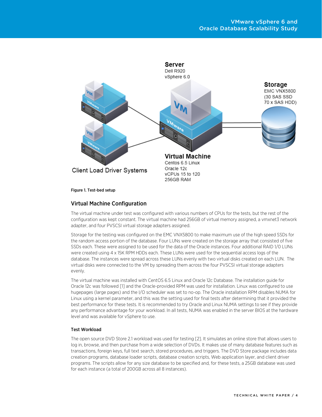

<span id="page-3-2"></span>Figure 1. Test-bed setup

#### <span id="page-3-0"></span>Virtual Machine Configuration

The virtual machine under test was configured with various numbers of CPUs for the tests, but the rest of the configuration was kept constant. The virtual machine had 256GB of virtual memory assigned, a vmxnet3 network adapter, and four PVSCSI virtual storage adapters assigned.

Storage for the testing was configured on the EMC VNX5800 to make maximum use of the high speed SSDs for the random access portion of the database. Four LUNs were created on the storage array that consisted of five SSDs each. These were assigned to be used for the data of the Oracle instances. Four additional RAID 1/0 LUNs were created using 4 x 15K RPM HDDs each. These LUNs were used for the sequential access logs of the database. The instances were spread across these LUNs evenly with two virtual disks created on each LUN. The virtual disks were connected to the VM by spreading them across the four PVSCSI virtual storage adapters evenly.

The virtual machine was installed with CentOS 6.5 Linux and Oracle 12c Database. The installation guide for Oracle 12c was followed [\[1\]](#page-10-1) and the Oracle-provided RPM was used for installation. Linux was configured to use hugepages (large pages) and the I/O scheduler was set to no-op. The Oracle installation RPM disables NUMA for Linux using a kernel parameter, and this was the setting used for final tests after determining that it provided the best performance for these tests. It is recommended to try Oracle and Linux NUMA settings to see if they provide any performance advantage for your workload. In all tests, NUMA was enabled in the server BIOS at the hardware level and was available for vSphere to use.

#### <span id="page-3-1"></span>Test Workload

The open source DVD Store 2.1 workload was used for testing [\[2\]](#page-10-2). It simulates an online store that allows users to log in, browse, and then purchase from a wide selection of DVDs. It makes use of many database features such as transactions, foreign keys, full text search, stored procedures, and triggers. The DVD Store package includes data creation programs, database loader scripts, database creation scripts, Web application layer, and client driver programs. The scripts allow for any size database to be specified and, for these tests, a 25GB database was used for each instance (a total of 200GB across all 8 instances).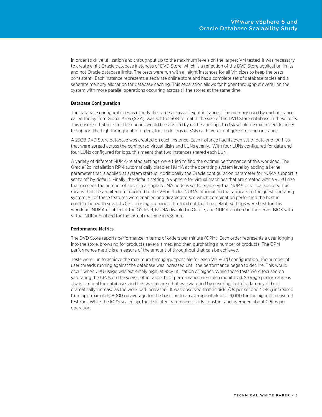In order to drive utilization and throughput up to the maximum levels on the largest VM tested, it was necessary to create eight Oracle database instances of DVD Store, which is a reflection of the DVD Store application limits and not Oracle database limits. The tests were run with all eight instances for all VM sizes to keep the tests consistent. Each instance represents a separate online store and has a complete set of database tables and a separate memory allocation for database caching. This separation allows for higher throughput overall on the system with more parallel operations occurring across all the stores at the same time.

#### <span id="page-4-0"></span>Database Configuration

The database configuration was exactly the same across all eight instances. The memory used by each instance, called the System Global Area (SGA), was set to 25GB to match the size of the DVD Store database in these tests. This ensured that most of the queries would be satisfied by cache and trips to disk would be minimized. In order to support the high throughput of orders, four redo logs of 3GB each were configured for each instance.

A 25GB DVD Store database was created on each instance. Each instance had its own set of data and log files that were spread across the configured virtual disks and LUNs evenly. With four LUNs configured for data and four LUNs configured for logs, this meant that two instances shared each LUN.

A variety of different NUMA-related settings were tried to find the optimal performance of this workload. The Oracle 12c installation RPM automatically disables NUMA at the operating system level by adding a kernel parameter that is applied at system startup. Additionally the Oracle configuration parameter for NUMA support is set to off by default. Finally, the default setting in vSphere for virtual machines that are created with a vCPU size that exceeds the number of cores in a single NUMA node is set to enable virtual NUMA or virtual sockets. This means that the architecture reported to the VM includes NUMA information that appears to the guest operating system. All of these features were enabled and disabled to see which combination performed the best in combination with several vCPU pinning scenarios. It turned out that the default settings were best for this workload: NUMA disabled at the OS level, NUMA disabled in Oracle, and NUMA enabled in the server BIOS with virtual NUMA enabled for the virtual machine in vSphere.

#### <span id="page-4-1"></span>Performance Metrics

The DVD Store reports performance in terms of orders per minute (OPM). Each order represents a user logging into the store, browsing for products several times, and then purchasing a number of products. The OPM performance metric is a measure of the amount of throughput that can be achieved.

Tests were run to achieve the maximum throughput possible for each VM vCPU configuration. The number of user threads running against the database was increased until the performance began to decline. This would occur when CPU usage was extremely high, at 98% utilization or higher. While these tests were focused on saturating the CPUs on the server, other aspects of performance were also monitored. Storage performance is always critical for databases and this was an area that was watched by ensuring that disk latency did not dramatically increase as the workload increased. It was observed that as disk I/Os per second (IOPS) increased from approximately 8000 on average for the baseline to an average of almost 19,000 for the highest measured test run. While the IOPS scaled up, the disk latency remained fairly constant and averaged about 0.6ms per operation.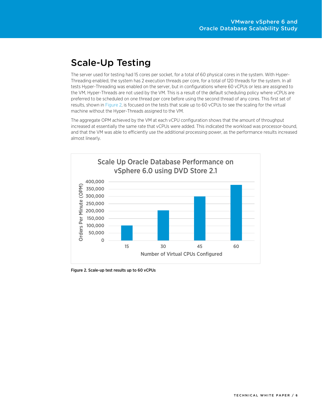# <span id="page-5-0"></span>Scale-Up Testing

The server used for testing had 15 cores per socket, for a total of 60 physical cores in the system. With Hyper-Threading enabled, the system has 2 execution threads per core, for a total of 120 threads for the system. In all tests Hyper-Threading was enabled on the server, but in configurations where 60 vCPUs or less are assigned to the VM, Hyper-Threads are not used by the VM. This is a result of the default scheduling policy where vCPUs are preferred to be scheduled on one thread per core before using the second thread of any cores. This first set of results, shown i[n Figure 2,](#page-5-1) is focused on the tests that scale up to 60 vCPUs to see the scaling for the virtual machine without the Hyper-Threads assigned to the VM.

The aggregate OPM achieved by the VM at each vCPU configuration shows that the amount of throughput increased at essentially the same rate that vCPUs were added. This indicated the workload was processor-bound, and that the VM was able to efficiently use the additional processing power, as the performance results increased almost linearly.



<span id="page-5-1"></span>Figure 2. Scale-up test results up to 60 vCPUs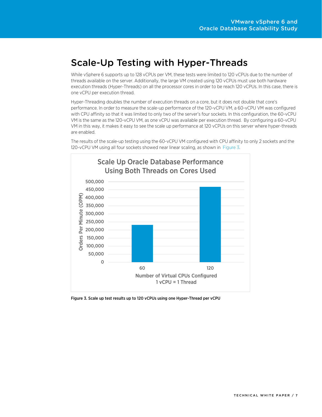## <span id="page-6-0"></span>Scale-Up Testing with Hyper-Threads

While vSphere 6 supports up to 128 vCPUs per VM, these tests were limited to 120 vCPUs due to the number of threads available on the server. Additionally, the large VM created using 120 vCPUs must use both hardware execution threads (Hyper-Threads) on all the processor cores in order to be reach 120 vCPUs. In this case, there is one vCPU per execution thread.

Hyper-Threading doubles the number of execution threads on a core, but it does not double that core's performance. In order to measure the scale-up performance of the 120-vCPU VM, a 60-vCPU VM was configured with CPU affinity so that it was limited to only two of the server's four sockets. In this configuration, the 60-vCPU VM is the same as the 120-vCPU VM, as one vCPU was available per execution thread. By configuring a 60-vCPU VM in this way, it makes it easy to see the scale up performance at 120 vCPUs on this server where hyper-threads are enabled.



The results of the scale-up testing using the 60-vCPU VM configured with CPU affinity to only 2 sockets and the 120-vCPU VM using all four sockets showed near linear scaling, as shown in [Figure 3.](#page-6-1)

<span id="page-6-1"></span>Figure 3. Scale up test results up to 120 vCPUs using one Hyper-Thread per vCPU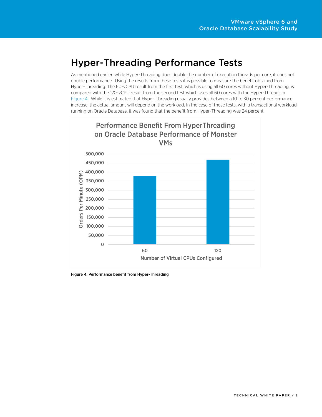#### <span id="page-7-0"></span>Hyper-Threading Performance Tests

As mentioned earlier, while Hyper-Threading does double the number of execution threads per core, it does not double performance. Using the results from these tests it is possible to measure the benefit obtained from Hyper-Threading. The 60-vCPU result from the first test, which is using all 60 cores without Hyper-Threading, is compared with the 120-vCPU result from the second test which uses all 60 cores with the Hyper-Threads in [Figure 4.](#page-7-1) While it is estimated that Hyper-Threading usually provides between a 10 to 30 percent performance increase, the actual amount will depend on the workload. In the case of these tests, with a transactional workload running on Oracle Database, it was found that the benefit from Hyper-Threading was 24 percent.



<span id="page-7-1"></span>Figure 4. Performance benefit from Hyper-Threading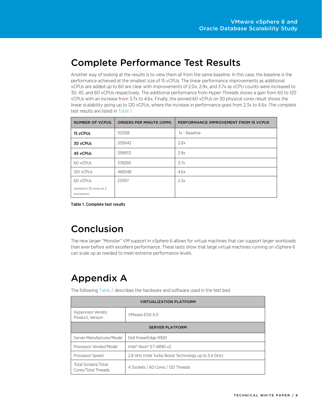## <span id="page-8-0"></span>Complete Performance Test Results

Another way of looking at the results is to view them all from the same baseline. In this case, the baseline is the performance achieved at the smallest size of 15 vCPUs. The linear performance improvements as additional vCPUs are added up to 60 are clear with improvements of 2.0x, 2.9x, and 3.7x as vCPU counts were increased to 30, 45, and 60 vCPUs respectively. The additional performance from Hyper-Threads shows a gain from 60 to 120 vCPUs with an increase from 3.7x to 4.6x. Finally, the pinned 60 vCPUs on 30 physical cores result shows the linear scalability going up to 120 vCPUs, where the increase in performance goes from 2.3x to 4.6x. The complete test results are listed i[n Table 1.](#page-8-3)

| <b>NUMBER OF VCPUS</b>                  | <b>ORDERS PER MINUTE (OPM)</b> | PERFORMANCE IMPROVEMENT FROM 15 VCPUS |
|-----------------------------------------|--------------------------------|---------------------------------------|
| 15 yCPUs                                | 102108                         | 1x - Baseline                         |
| 30 vCPUs                                | 205642                         | 2.0x                                  |
| 45 vCPUs                                | 299933                         | 2.9x                                  |
| 60 vCPUs                                | 378269                         | 3.7x                                  |
| 120 vCPUs                               | 468348                         | 4.6x                                  |
| 60 vCPUs                                | 231917                         | 2.3x                                  |
| (pinned to 30 cores on 2<br>processors) |                                |                                       |

<span id="page-8-3"></span>Table 1. Complete test results

## <span id="page-8-1"></span>Conclusion

The new larger "Monster" VM support in vSphere 6 allows for virtual machines that can support larger workloads than ever before with excellent performance. These tests show that large virtual machines running on vSphere 6 can scale up as needed to meet extreme performance levels.

# <span id="page-8-2"></span>Appendix A

The following [Table 2](#page-9-0) describes the hardware and software used in the test bed.

| <b>VIRTUALIZATION PLATFORM</b>             |                                                      |  |  |  |
|--------------------------------------------|------------------------------------------------------|--|--|--|
| Hypervisor Vendor,<br>Product. Version     | VMware FSXi 6.0                                      |  |  |  |
| <b>SERVER PLATFORM</b>                     |                                                      |  |  |  |
| Server Manufacturer/Model                  | Dell PowerEdge R920                                  |  |  |  |
| Processor Vendor/Model                     | Intel® Xeon® E7-4890 v2                              |  |  |  |
| Processor Speed                            | 2.8 GHz (Intel Turbo Boost Technology up to 3.4 GHz) |  |  |  |
| Total Sockets/Total<br>Cores/Total Threads | 4 Sockets / 60 Cores / 120 Threads                   |  |  |  |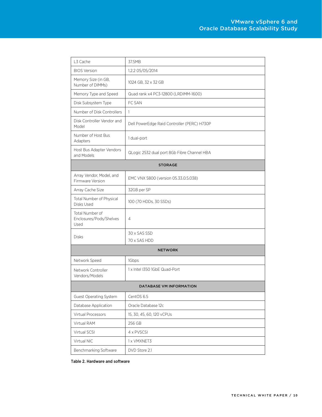| L3 Cache                                           | 37.5MB                                      |  |  |  |
|----------------------------------------------------|---------------------------------------------|--|--|--|
| <b>BIOS Version</b>                                | 1.2.2 05/05/2014                            |  |  |  |
| Memory Size (in GB,<br>Number of DIMMs)            | 1024 GB, 32 x 32 GB                         |  |  |  |
| Memory Type and Speed                              | Quad rank x4 PC3-12800 (LRDIMM-1600)        |  |  |  |
| Disk Subsystem Type                                | FC SAN                                      |  |  |  |
| Number of Disk Controllers                         | 1                                           |  |  |  |
| Disk Controller Vendor and<br>Model                | Dell PowerEdge Raid Controller (PERC) H730P |  |  |  |
| Number of Host Bus<br>Adapters                     | 1 dual-port                                 |  |  |  |
| Host Bus Adapter Vendors<br>and Models             | QLogic 2532 dual port 8Gb Fibre Channel HBA |  |  |  |
| <b>STORAGE</b>                                     |                                             |  |  |  |
| Array Vendor, Model, and<br>Firmware Version       | EMC VNX 5800 (version 05.33.0.5.038)        |  |  |  |
| Array Cache Size                                   | 32GB per SP                                 |  |  |  |
| Total Number of Physical<br>Disks Used             | 100 (70 HDDs, 30 SSDs)                      |  |  |  |
| Total Number of<br>Enclosures/Pods/Shelves<br>Used | $\overline{4}$                              |  |  |  |
| <b>Disks</b>                                       | 30 x SAS SSD<br>70 x SAS HDD                |  |  |  |
| <b>NETWORK</b>                                     |                                             |  |  |  |
| Network Speed                                      | 1Gbps                                       |  |  |  |
| Network Controller<br>Vendors/Models               | 1 x Intel I350 1GbE Quad-Port               |  |  |  |
| <b>DATABASE VM INFORMATION</b>                     |                                             |  |  |  |
| Guest Operating System                             | CentOS 6.5                                  |  |  |  |
| Database Application                               | Oracle Database 12c                         |  |  |  |
| Virtual Processors                                 | 15, 30, 45, 60, 120 vCPUs                   |  |  |  |
| Virtual RAM                                        | 256 GB                                      |  |  |  |
| Virtual SCSI                                       | 4 x PVSCSI                                  |  |  |  |
| Virtual NIC                                        | 1 x VMXNET3                                 |  |  |  |
| Benchmarking Software                              | DVD Store 2.1                               |  |  |  |

<span id="page-9-0"></span>Table 2. Hardware and software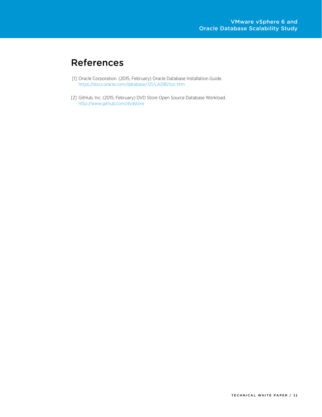# <span id="page-10-0"></span>References

- <span id="page-10-1"></span>[1] Oracle Corporation. (2015, February) Oracle Database Installation Guide. <https://docs.oracle.com/database/121/LADBI/toc.htm>
- <span id="page-10-2"></span>[2] GitHub, Inc. (2015, February) DVD Store Open Source Database Workload. <http://www.github.com/dvdstore>